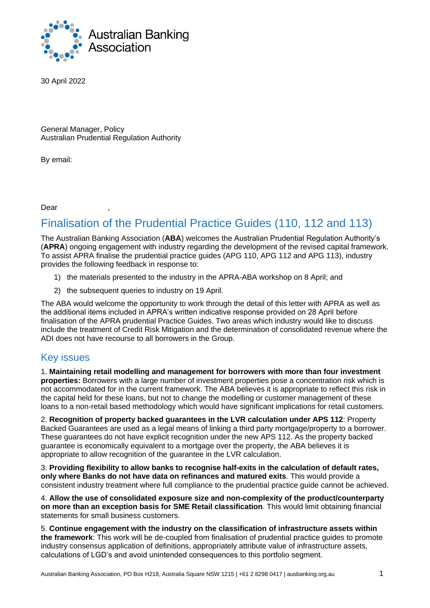

30 April 2022

General Manager, Policy Australian Prudential Regulation Authority

By email:

Dear ,

# Finalisation of the Prudential Practice Guides (110, 112 and 113)

The Australian Banking Association (**ABA**) welcomes the Australian Prudential Regulation Authority's (**APRA**) ongoing engagement with industry regarding the development of the revised capital framework. To assist APRA finalise the prudential practice guides (APG 110, APG 112 and APG 113), industry provides the following feedback in response to:

- 1) the materials presented to the industry in the APRA-ABA workshop on 8 April; and
- 2) the subsequent queries to industry on 19 April.

The ABA would welcome the opportunity to work through the detail of this letter with APRA as well as the additional items included in APRA's written indicative response provided on 28 April before finalisation of the APRA prudential Practice Guides. Two areas which industry would like to discuss include the treatment of Credit Risk Mitigation and the determination of consolidated revenue where the ADI does not have recourse to all borrowers in the Group.

## Key issues

1. **Maintaining retail modelling and management for borrowers with more than four investment properties:** Borrowers with a large number of investment properties pose a concentration risk which is not accommodated for in the current framework. The ABA believes it is appropriate to reflect this risk in the capital held for these loans, but not to change the modelling or customer management of these loans to a non-retail based methodology which would have significant implications for retail customers.

2. **Recognition of property backed guarantees in the LVR calculation under APS 112**: Property Backed Guarantees are used as a legal means of linking a third party mortgage/property to a borrower. These guarantees do not have explicit recognition under the new APS 112. As the property backed guarantee is economically equivalent to a mortgage over the property, the ABA believes it is appropriate to allow recognition of the guarantee in the LVR calculation.

3. **Providing flexibility to allow banks to recognise half-exits in the calculation of default rates, only where Banks do not have data on refinances and matured exits**. This would provide a consistent industry treatment where full compliance to the prudential practice guide cannot be achieved.

4. **Allow the use of consolidated exposure size and non-complexity of the product/counterparty on more than an exception basis for SME Retail classification**. This would limit obtaining financial statements for small business customers.

5. **Continue engagement with the industry on the classification of infrastructure assets within the framework**: This work will be de-coupled from finalisation of prudential practice guides to promote industry consensus application of definitions, appropriately attribute value of infrastructure assets, calculations of LGD's and avoid unintended consequences to this portfolio segment.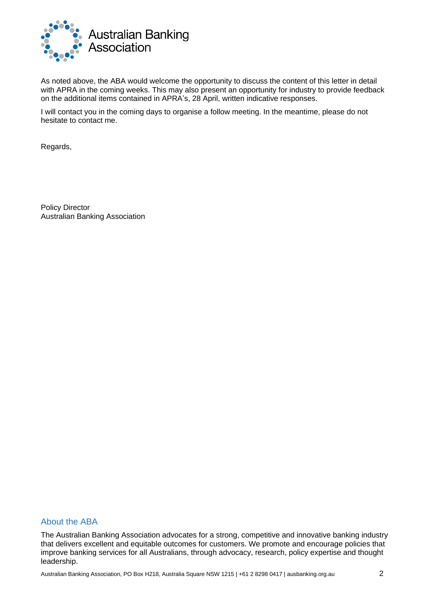

As noted above, the ABA would welcome the opportunity to discuss the content of this letter in detail with APRA in the coming weeks. This may also present an opportunity for industry to provide feedback on the additional items contained in APRA's, 28 April, written indicative responses.

I will contact you in the coming days to organise a follow meeting. In the meantime, please do not hesitate to contact me.

Regards,

Policy Director Australian Banking Association

#### About the ABA

The Australian Banking Association advocates for a strong, competitive and innovative banking industry that delivers excellent and equitable outcomes for customers. We promote and encourage policies that improve banking services for all Australians, through advocacy, research, policy expertise and thought leadership.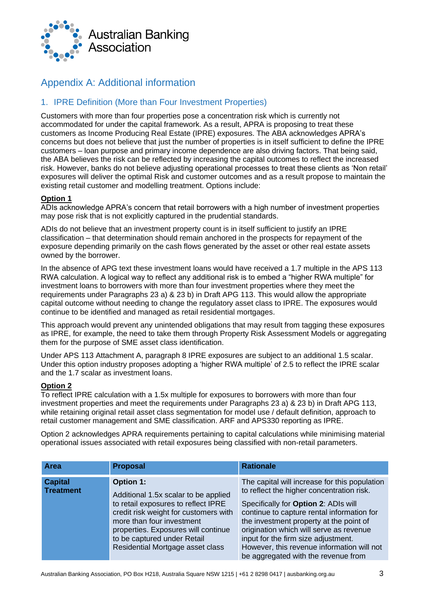

## Appendix A: Additional information

### 1. IPRE Definition (More than Four Investment Properties)

Customers with more than four properties pose a concentration risk which is currently not accommodated for under the capital framework. As a result, APRA is proposing to treat these customers as Income Producing Real Estate (IPRE) exposures. The ABA acknowledges APRA's concerns but does not believe that just the number of properties is in itself sufficient to define the IPRE customers – loan purpose and primary income dependence are also driving factors. That being said, the ABA believes the risk can be reflected by increasing the capital outcomes to reflect the increased risk. However, banks do not believe adjusting operational processes to treat these clients as 'Non retail' exposures will deliver the optimal Risk and customer outcomes and as a result propose to maintain the existing retail customer and modelling treatment. Options include:

#### **Option 1**

ADIs acknowledge APRA's concern that retail borrowers with a high number of investment properties may pose risk that is not explicitly captured in the prudential standards.

ADIs do not believe that an investment property count is in itself sufficient to justify an IPRE classification – that determination should remain anchored in the prospects for repayment of the exposure depending primarily on the cash flows generated by the asset or other real estate assets owned by the borrower.

In the absence of APG text these investment loans would have received a 1.7 multiple in the APS 113 RWA calculation. A logical way to reflect any additional risk is to embed a "higher RWA multiple" for investment loans to borrowers with more than four investment properties where they meet the requirements under Paragraphs 23 a) & 23 b) in Draft APG 113. This would allow the appropriate capital outcome without needing to change the regulatory asset class to IPRE. The exposures would continue to be identified and managed as retail residential mortgages.

This approach would prevent any unintended obligations that may result from tagging these exposures as IPRE, for example, the need to take them through Property Risk Assessment Models or aggregating them for the purpose of SME asset class identification.

Under APS 113 Attachment A, paragraph 8 IPRE exposures are subject to an additional 1.5 scalar. Under this option industry proposes adopting a 'higher RWA multiple' of 2.5 to reflect the IPRE scalar and the 1.7 scalar as investment loans.

#### **Option 2**

To reflect IPRE calculation with a 1.5x multiple for exposures to borrowers with more than four investment properties and meet the requirements under Paragraphs 23 a) & 23 b) in Draft APG 113, while retaining original retail asset class segmentation for model use / default definition, approach to retail customer management and SME classification. ARF and APS330 reporting as IPRE.

Option 2 acknowledges APRA requirements pertaining to capital calculations while minimising material operational issues associated with retail exposures being classified with non-retail parameters.

| <b>Area</b>                        | <b>Proposal</b>                                                                                                                                                                                                                                                                 | <b>Rationale</b>                                                                                                                                                                                                                                                                                                                                                                                   |
|------------------------------------|---------------------------------------------------------------------------------------------------------------------------------------------------------------------------------------------------------------------------------------------------------------------------------|----------------------------------------------------------------------------------------------------------------------------------------------------------------------------------------------------------------------------------------------------------------------------------------------------------------------------------------------------------------------------------------------------|
| <b>Capital</b><br><b>Treatment</b> | <b>Option 1:</b><br>Additional 1.5x scalar to be applied<br>to retail exposures to reflect IPRE<br>credit risk weight for customers with<br>more than four investment<br>properties. Exposures will continue<br>to be captured under Retail<br>Residential Mortgage asset class | The capital will increase for this population<br>to reflect the higher concentration risk.<br>Specifically for Option 2: ADIs will<br>continue to capture rental information for<br>the investment property at the point of<br>origination which will serve as revenue<br>input for the firm size adjustment.<br>However, this revenue information will not<br>be aggregated with the revenue from |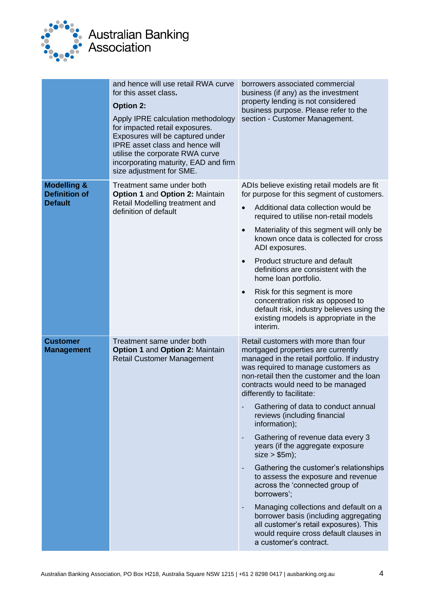

# **Australian Banking** Association

and hence will use retail RWA curve for this asset class**. Option 2:** Apply IPRE calculation methodology for impacted retail exposures. Exposures will be captured under IPRE asset class and hence will utilise the corporate RWA curve incorporating maturity, EAD and firm size adjustment for SME. borrowers associated commercial business (if any) as the investment property lending is not considered business purpose. Please refer to the section - Customer Management. **Modelling & Definition of Default** Treatment same under both **Option 1** and **Option 2:** Maintain Retail Modelling treatment and definition of default ADIs believe existing retail models are fit for purpose for this segment of customers. • Additional data collection would be required to utilise non-retail models • Materiality of this segment will only be known once data is collected for cross ADI exposures. • Product structure and default definitions are consistent with the home loan portfolio. Risk for this segment is more concentration risk as opposed to default risk, industry believes using the existing models is appropriate in the interim. **Customer Management** Treatment same under both **Option 1** and **Option 2:** Maintain Retail Customer Management Retail customers with more than four mortgaged properties are currently managed in the retail portfolio. If industry was required to manage customers as non-retail then the customer and the loan contracts would need to be managed differently to facilitate: Gathering of data to conduct annual reviews (including financial information); Gathering of revenue data every 3 years (if the aggregate exposure  $size > $5m$ ); Gathering the customer's relationships to assess the exposure and revenue across the 'connected group of borrowers'; Managing collections and default on a borrower basis (including aggregating all customer's retail exposures). This would require cross default clauses in a customer's contract.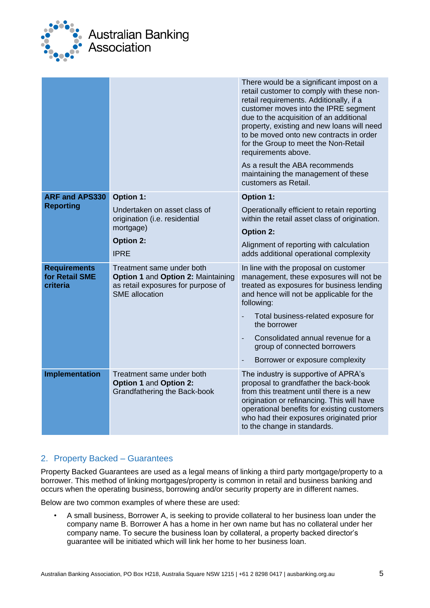

|                                                   |                                                                                                                                | There would be a significant impost on a<br>retail customer to comply with these non-<br>retail requirements. Additionally, if a<br>customer moves into the IPRE segment<br>due to the acquisition of an additional<br>property, existing and new loans will need<br>to be moved onto new contracts in order<br>for the Group to meet the Non-Retail<br>requirements above.<br>As a result the ABA recommends<br>maintaining the management of these<br>customers as Retail. |
|---------------------------------------------------|--------------------------------------------------------------------------------------------------------------------------------|------------------------------------------------------------------------------------------------------------------------------------------------------------------------------------------------------------------------------------------------------------------------------------------------------------------------------------------------------------------------------------------------------------------------------------------------------------------------------|
| <b>ARF and APS330</b><br><b>Reporting</b>         | <b>Option 1:</b>                                                                                                               | <b>Option 1:</b>                                                                                                                                                                                                                                                                                                                                                                                                                                                             |
|                                                   | Undertaken on asset class of<br>origination (i.e. residential                                                                  | Operationally efficient to retain reporting<br>within the retail asset class of origination.                                                                                                                                                                                                                                                                                                                                                                                 |
|                                                   | mortgage)                                                                                                                      | <b>Option 2:</b>                                                                                                                                                                                                                                                                                                                                                                                                                                                             |
|                                                   | <b>Option 2:</b><br><b>IPRE</b>                                                                                                | Alignment of reporting with calculation<br>adds additional operational complexity                                                                                                                                                                                                                                                                                                                                                                                            |
| <b>Requirements</b><br>for Retail SME<br>criteria | Treatment same under both<br>Option 1 and Option 2: Maintaining<br>as retail exposures for purpose of<br><b>SME</b> allocation | In line with the proposal on customer<br>management, these exposures will not be<br>treated as exposures for business lending<br>and hence will not be applicable for the<br>following:                                                                                                                                                                                                                                                                                      |
|                                                   |                                                                                                                                | Total business-related exposure for<br>the borrower                                                                                                                                                                                                                                                                                                                                                                                                                          |
|                                                   |                                                                                                                                | Consolidated annual revenue for a<br>$\blacksquare$<br>group of connected borrowers                                                                                                                                                                                                                                                                                                                                                                                          |
|                                                   |                                                                                                                                | Borrower or exposure complexity                                                                                                                                                                                                                                                                                                                                                                                                                                              |
| Implementation                                    | Treatment same under both<br><b>Option 1 and Option 2:</b><br>Grandfathering the Back-book                                     | The industry is supportive of APRA's<br>proposal to grandfather the back-book<br>from this treatment until there is a new<br>origination or refinancing. This will have<br>operational benefits for existing customers<br>who had their exposures originated prior<br>to the change in standards.                                                                                                                                                                            |

## 2. Property Backed – Guarantees

Property Backed Guarantees are used as a legal means of linking a third party mortgage/property to a borrower. This method of linking mortgages/property is common in retail and business banking and occurs when the operating business, borrowing and/or security property are in different names.

Below are two common examples of where these are used:

• A small business, Borrower A, is seeking to provide collateral to her business loan under the company name B. Borrower A has a home in her own name but has no collateral under her company name. To secure the business loan by collateral, a property backed director's guarantee will be initiated which will link her home to her business loan.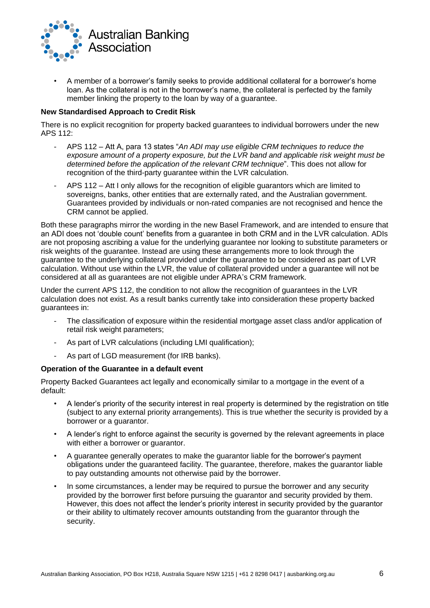

• A member of a borrower's family seeks to provide additional collateral for a borrower's home loan. As the collateral is not in the borrower's name, the collateral is perfected by the family member linking the property to the loan by way of a guarantee.

#### **New Standardised Approach to Credit Risk**

There is no explicit recognition for property backed guarantees to individual borrowers under the new APS 112:

- APS 112 Att A, para 13 states "*An ADI may use eligible CRM techniques to reduce the exposure amount of a property exposure, but the LVR band and applicable risk weight must be determined before the application of the relevant CRM technique*". This does not allow for recognition of the third-party guarantee within the LVR calculation.
- APS 112 Att I only allows for the recognition of eligible guarantors which are limited to sovereigns, banks, other entities that are externally rated, and the Australian government. Guarantees provided by individuals or non-rated companies are not recognised and hence the CRM cannot be applied.

Both these paragraphs mirror the wording in the new Basel Framework, and are intended to ensure that an ADI does not 'double count' benefits from a guarantee in both CRM and in the LVR calculation. ADIs are not proposing ascribing a value for the underlying guarantee nor looking to substitute parameters or risk weights of the guarantee. Instead are using these arrangements more to look through the guarantee to the underlying collateral provided under the guarantee to be considered as part of LVR calculation. Without use within the LVR, the value of collateral provided under a guarantee will not be considered at all as guarantees are not eligible under APRA's CRM framework.

Under the current APS 112, the condition to not allow the recognition of guarantees in the LVR calculation does not exist. As a result banks currently take into consideration these property backed guarantees in:

- The classification of exposure within the residential mortgage asset class and/or application of retail risk weight parameters;
- As part of LVR calculations (including LMI qualification);
- As part of LGD measurement (for IRB banks).

#### **Operation of the Guarantee in a default event**

Property Backed Guarantees act legally and economically similar to a mortgage in the event of a default:

- A lender's priority of the security interest in real property is determined by the registration on title (subject to any external priority arrangements). This is true whether the security is provided by a borrower or a guarantor.
- A lender's right to enforce against the security is governed by the relevant agreements in place with either a borrower or guarantor.
- A guarantee generally operates to make the guarantor liable for the borrower's payment obligations under the guaranteed facility. The guarantee, therefore, makes the guarantor liable to pay outstanding amounts not otherwise paid by the borrower.
- In some circumstances, a lender may be required to pursue the borrower and any security provided by the borrower first before pursuing the guarantor and security provided by them. However, this does not affect the lender's priority interest in security provided by the guarantor or their ability to ultimately recover amounts outstanding from the guarantor through the security.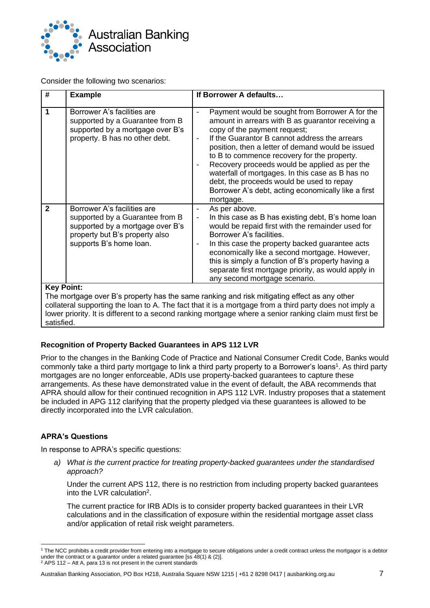

Consider the following two scenarios:

| #            | <b>Example</b>                                                                                                                                                                                                                                                                                                                                                     | If Borrower A defaults                                                                                                                                                                                                                                                                                                                                                                                                                                                                                                                                             |  |
|--------------|--------------------------------------------------------------------------------------------------------------------------------------------------------------------------------------------------------------------------------------------------------------------------------------------------------------------------------------------------------------------|--------------------------------------------------------------------------------------------------------------------------------------------------------------------------------------------------------------------------------------------------------------------------------------------------------------------------------------------------------------------------------------------------------------------------------------------------------------------------------------------------------------------------------------------------------------------|--|
| 1            | Borrower A's facilities are<br>supported by a Guarantee from B<br>supported by a mortgage over B's<br>property. B has no other debt.                                                                                                                                                                                                                               | Payment would be sought from Borrower A for the<br>-<br>amount in arrears with B as guarantor receiving a<br>copy of the payment request;<br>If the Guarantor B cannot address the arrears<br>$\overline{\phantom{m}}$<br>position, then a letter of demand would be issued<br>to B to commence recovery for the property.<br>Recovery proceeds would be applied as per the<br>$\blacksquare$<br>waterfall of mortgages. In this case as B has no<br>debt, the proceeds would be used to repay<br>Borrower A's debt, acting economically like a first<br>mortgage. |  |
| $\mathbf{2}$ | Borrower A's facilities are<br>supported by a Guarantee from B<br>supported by a mortgage over B's<br>property but B's property also<br>supports B's home loan.                                                                                                                                                                                                    | As per above.<br>In this case as B has existing debt, B's home loan<br>$\overline{\phantom{0}}$<br>would be repaid first with the remainder used for<br>Borrower A's facilities.<br>In this case the property backed guarantee acts<br>$\overline{a}$<br>economically like a second mortgage. However,<br>this is simply a function of B's property having a<br>separate first mortgage priority, as would apply in<br>any second mortgage scenario.                                                                                                               |  |
|              | <b>Key Point:</b><br>The mortgage over B's property has the same ranking and risk mitigating effect as any other<br>However, the contract of the first $\mathbf{A}$ , $\overline{\mathbf{T}}$ is a factor of the contract of the contract of the contract of the contract of the contract of the contract of the contract of the contract of the contract of the c |                                                                                                                                                                                                                                                                                                                                                                                                                                                                                                                                                                    |  |

collateral supporting the loan to A. The fact that it is a mortgage from a third party does not imply a lower priority. It is different to a second ranking mortgage where a senior ranking claim must first be satisfied.

#### **Recognition of Property Backed Guarantees in APS 112 LVR**

Prior to the changes in the Banking Code of Practice and National Consumer Credit Code, Banks would commonly take a third party mortgage to link a third party property to a Borrower's loans<sup>1</sup>. As third party mortgages are no longer enforceable, ADIs use property-backed guarantees to capture these arrangements. As these have demonstrated value in the event of default, the ABA recommends that APRA should allow for their continued recognition in APS 112 LVR. Industry proposes that a statement be included in APG 112 clarifying that the property pledged via these guarantees is allowed to be directly incorporated into the LVR calculation.

#### **APRA's Questions**

In response to APRA's specific questions:

*a) What is the current practice for treating property-backed guarantees under the standardised approach?*

Under the current APS 112, there is no restriction from including property backed guarantees into the LVR calculation<sup>2</sup>.

The current practice for IRB ADIs is to consider property backed guarantees in their LVR calculations and in the classification of exposure within the residential mortgage asset class and/or application of retail risk weight parameters.

<sup>1</sup> The NCC prohibits a credit provider from entering into a mortgage to secure obligations under a credit contract unless the mortgagor is a debtor under the contract or a guarantor under a related guarantee [ss 48(1) & (2)].

<sup>2</sup> APS 112 – Att A, para 13 is not present in the current standards

Australian Banking Association, PO Box H218, Australia Square NSW 1215 | +61 2 8298 0417 | ausbanking.org.au 7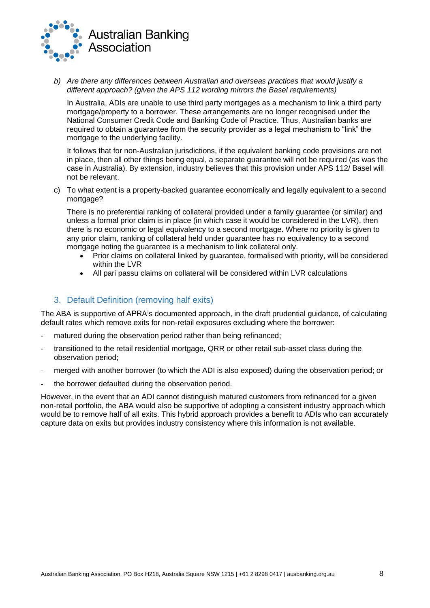

*b) Are there any differences between Australian and overseas practices that would justify a different approach? (given the APS 112 wording mirrors the Basel requirements)*

In Australia, ADIs are unable to use third party mortgages as a mechanism to link a third party mortgage/property to a borrower. These arrangements are no longer recognised under the National Consumer Credit Code and Banking Code of Practice. Thus, Australian banks are required to obtain a guarantee from the security provider as a legal mechanism to "link" the mortgage to the underlying facility.

It follows that for non-Australian jurisdictions, if the equivalent banking code provisions are not in place, then all other things being equal, a separate guarantee will not be required (as was the case in Australia). By extension, industry believes that this provision under APS 112/ Basel will not be relevant.

c) To what extent is a property-backed guarantee economically and legally equivalent to a second mortgage?

There is no preferential ranking of collateral provided under a family guarantee (or similar) and unless a formal prior claim is in place (in which case it would be considered in the LVR), then there is no economic or legal equivalency to a second mortgage. Where no priority is given to any prior claim, ranking of collateral held under guarantee has no equivalency to a second mortgage noting the guarantee is a mechanism to link collateral only.

- Prior claims on collateral linked by quarantee, formalised with priority, will be considered within the LVR
- All pari passu claims on collateral will be considered within LVR calculations

#### 3. Default Definition (removing half exits)

The ABA is supportive of APRA's documented approach, in the draft prudential guidance, of calculating default rates which remove exits for non-retail exposures excluding where the borrower:

- matured during the observation period rather than being refinanced;
- transitioned to the retail residential mortgage, QRR or other retail sub-asset class during the observation period;
- merged with another borrower (to which the ADI is also exposed) during the observation period; or
- the borrower defaulted during the observation period.

However, in the event that an ADI cannot distinguish matured customers from refinanced for a given non-retail portfolio, the ABA would also be supportive of adopting a consistent industry approach which would be to remove half of all exits. This hybrid approach provides a benefit to ADIs who can accurately capture data on exits but provides industry consistency where this information is not available.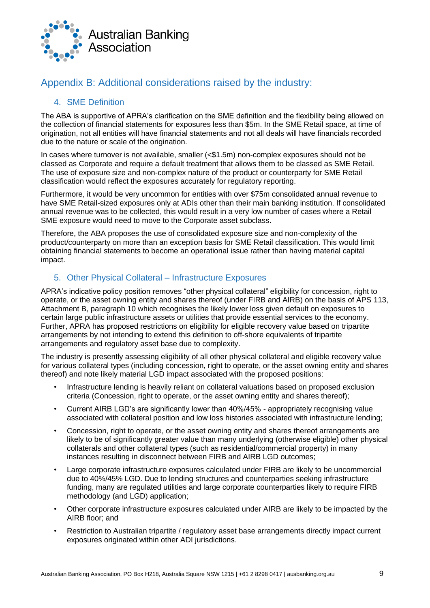

## Appendix B: Additional considerations raised by the industry:

### 4. SME Definition

The ABA is supportive of APRA's clarification on the SME definition and the flexibility being allowed on the collection of financial statements for exposures less than \$5m. In the SME Retail space, at time of origination, not all entities will have financial statements and not all deals will have financials recorded due to the nature or scale of the origination.

In cases where turnover is not available, smaller (<\$1.5m) non-complex exposures should not be classed as Corporate and require a default treatment that allows them to be classed as SME Retail. The use of exposure size and non-complex nature of the product or counterparty for SME Retail classification would reflect the exposures accurately for regulatory reporting.

Furthermore, it would be very uncommon for entities with over \$75m consolidated annual revenue to have SME Retail-sized exposures only at ADIs other than their main banking institution. If consolidated annual revenue was to be collected, this would result in a very low number of cases where a Retail SME exposure would need to move to the Corporate asset subclass.

Therefore, the ABA proposes the use of consolidated exposure size and non-complexity of the product/counterparty on more than an exception basis for SME Retail classification. This would limit obtaining financial statements to become an operational issue rather than having material capital impact.

### 5. Other Physical Collateral – Infrastructure Exposures

APRA's indicative policy position removes "other physical collateral" eligibility for concession, right to operate, or the asset owning entity and shares thereof (under FIRB and AIRB) on the basis of APS 113, Attachment B, paragraph 10 which recognises the likely lower loss given default on exposures to certain large public infrastructure assets or utilities that provide essential services to the economy. Further, APRA has proposed restrictions on eligibility for eligible recovery value based on tripartite arrangements by not intending to extend this definition to off-shore equivalents of tripartite arrangements and regulatory asset base due to complexity.

The industry is presently assessing eligibility of all other physical collateral and eligible recovery value for various collateral types (including concession, right to operate, or the asset owning entity and shares thereof) and note likely material LGD impact associated with the proposed positions:

- Infrastructure lending is heavily reliant on collateral valuations based on proposed exclusion criteria (Concession, right to operate, or the asset owning entity and shares thereof);
- Current AIRB LGD's are significantly lower than 40%/45% appropriately recognising value associated with collateral position and low loss histories associated with infrastructure lending;
- Concession, right to operate, or the asset owning entity and shares thereof arrangements are likely to be of significantly greater value than many underlying (otherwise eligible) other physical collaterals and other collateral types (such as residential/commercial property) in many instances resulting in disconnect between FIRB and AIRB LGD outcomes;
- Large corporate infrastructure exposures calculated under FIRB are likely to be uncommercial due to 40%/45% LGD. Due to lending structures and counterparties seeking infrastructure funding, many are regulated utilities and large corporate counterparties likely to require FIRB methodology (and LGD) application;
- Other corporate infrastructure exposures calculated under AIRB are likely to be impacted by the AIRB floor; and
- Restriction to Australian tripartite / regulatory asset base arrangements directly impact current exposures originated within other ADI jurisdictions.